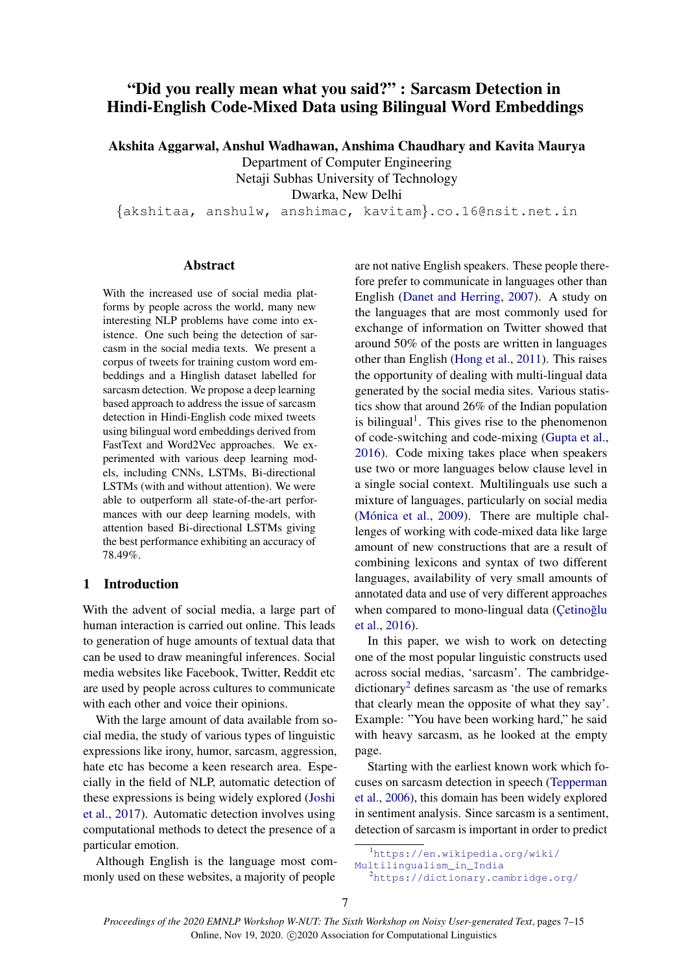# "Did you really mean what you said?" : Sarcasm Detection in Hindi-English Code-Mixed Data using Bilingual Word Embeddings

Akshita Aggarwal, Anshul Wadhawan, Anshima Chaudhary and Kavita Maurya

Department of Computer Engineering Netaji Subhas University of Technology

Dwarka, New Delhi

{akshitaa, anshulw, anshimac, kavitam}.co.16@nsit.net.in

## Abstract

With the increased use of social media platforms by people across the world, many new interesting NLP problems have come into existence. One such being the detection of sarcasm in the social media texts. We present a corpus of tweets for training custom word embeddings and a Hinglish dataset labelled for sarcasm detection. We propose a deep learning based approach to address the issue of sarcasm detection in Hindi-English code mixed tweets using bilingual word embeddings derived from FastText and Word2Vec approaches. We experimented with various deep learning models, including CNNs, LSTMs, Bi-directional LSTMs (with and without attention). We were able to outperform all state-of-the-art performances with our deep learning models, with attention based Bi-directional LSTMs giving the best performance exhibiting an accuracy of 78.49%.

## 1 Introduction

With the advent of social media, a large part of human interaction is carried out online. This leads to generation of huge amounts of textual data that can be used to draw meaningful inferences. Social media websites like Facebook, Twitter, Reddit etc are used by people across cultures to communicate with each other and voice their opinions.

With the large amount of data available from social media, the study of various types of linguistic expressions like irony, humor, sarcasm, aggression, hate etc has become a keen research area. Especially in the field of NLP, automatic detection of these expressions is being widely explored [\(Joshi](#page-7-0) [et al.,](#page-7-0) [2017\)](#page-7-0). Automatic detection involves using computational methods to detect the presence of a particular emotion.

Although English is the language most commonly used on these websites, a majority of people

are not native English speakers. These people therefore prefer to communicate in languages other than English [\(Danet and Herring,](#page-7-1) [2007\)](#page-7-1). A study on the languages that are most commonly used for exchange of information on Twitter showed that around 50% of the posts are written in languages other than English [\(Hong et al.,](#page-7-2) [2011\)](#page-7-2). This raises the opportunity of dealing with multi-lingual data generated by the social media sites. Various statistics show that around 26% of the Indian population is bilingual<sup>[1](#page-0-0)</sup>. This gives rise to the phenomenon of code-switching and code-mixing [\(Gupta et al.,](#page-7-3) [2016\)](#page-7-3). Code mixing takes place when speakers use two or more languages below clause level in a single social context. Multilinguals use such a mixture of languages, particularly on social media (Mónica et al., [2009\)](#page-7-4). There are multiple challenges of working with code-mixed data like large amount of new constructions that are a result of combining lexicons and syntax of two different languages, availability of very small amounts of annotated data and use of very different approaches when compared to mono-lingual data (Cetinoğlu [et al.,](#page-7-5) [2016\)](#page-7-5).

In this paper, we wish to work on detecting one of the most popular linguistic constructs used across social medias, 'sarcasm'. The cambridge- $dictionary<sup>2</sup>$  $dictionary<sup>2</sup>$  $dictionary<sup>2</sup>$  defines sarcasm as 'the use of remarks that clearly mean the opposite of what they say'. Example: "You have been working hard," he said with heavy sarcasm, as he looked at the empty page.

Starting with the earliest known work which focuses on sarcasm detection in speech [\(Tepperman](#page-8-0) [et al.,](#page-8-0) [2006\)](#page-8-0), this domain has been widely explored in sentiment analysis. Since sarcasm is a sentiment, detection of sarcasm is important in order to predict

<span id="page-0-0"></span><sup>1</sup>[https://en.wikipedia.org/wiki/](https://en.wikipedia.org/wiki/Multilingualism_in_India)

[Multilingualism\\_in\\_India](https://en.wikipedia.org/wiki/Multilingualism_in_India)

<span id="page-0-1"></span><sup>2</sup><https://dictionary.cambridge.org/>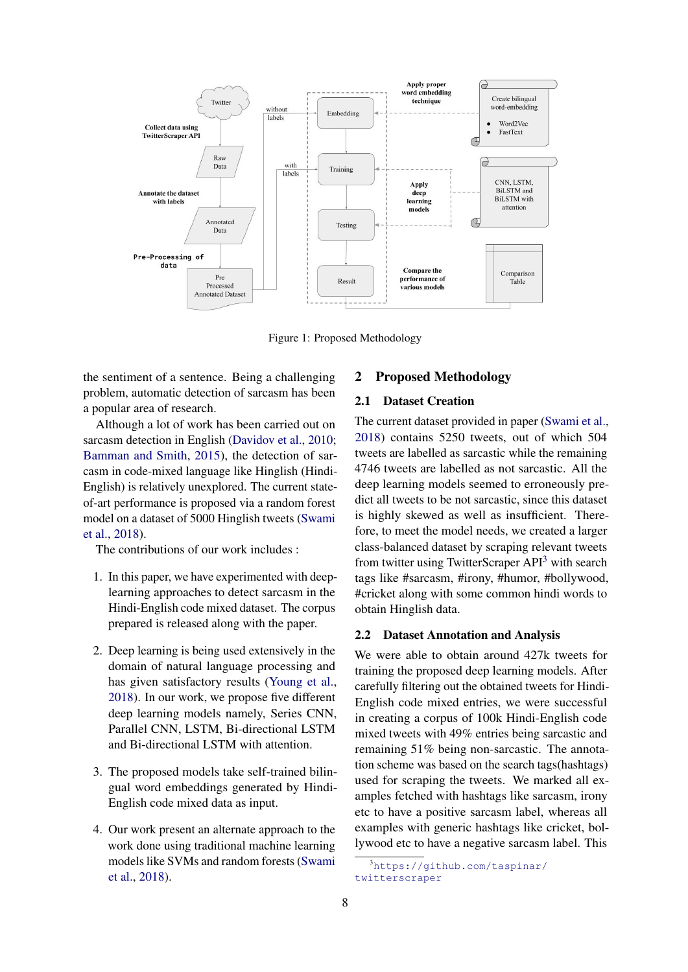

Figure 1: Proposed Methodology

the sentiment of a sentence. Being a challenging problem, automatic detection of sarcasm has been a popular area of research.

Although a lot of work has been carried out on sarcasm detection in English [\(Davidov et al.,](#page-7-6) [2010;](#page-7-6) [Bamman and Smith,](#page-7-7) [2015\)](#page-7-7), the detection of sarcasm in code-mixed language like Hinglish (Hindi-English) is relatively unexplored. The current stateof-art performance is proposed via a random forest model on a dataset of 5000 Hinglish tweets [\(Swami](#page-7-8) [et al.,](#page-7-8) [2018\)](#page-7-8).

The contributions of our work includes :

- 1. In this paper, we have experimented with deeplearning approaches to detect sarcasm in the Hindi-English code mixed dataset. The corpus prepared is released along with the paper.
- 2. Deep learning is being used extensively in the domain of natural language processing and has given satisfactory results [\(Young et al.,](#page-8-1) [2018\)](#page-8-1). In our work, we propose five different deep learning models namely, Series CNN, Parallel CNN, LSTM, Bi-directional LSTM and Bi-directional LSTM with attention.
- 3. The proposed models take self-trained bilingual word embeddings generated by Hindi-English code mixed data as input.
- 4. Our work present an alternate approach to the work done using traditional machine learning models like SVMs and random forests [\(Swami](#page-7-8) [et al.,](#page-7-8) [2018\)](#page-7-8).

## 2 Proposed Methodology

#### 2.1 Dataset Creation

The current dataset provided in paper [\(Swami et al.,](#page-7-8) [2018\)](#page-7-8) contains 5250 tweets, out of which 504 tweets are labelled as sarcastic while the remaining 4746 tweets are labelled as not sarcastic. All the deep learning models seemed to erroneously predict all tweets to be not sarcastic, since this dataset is highly skewed as well as insufficient. Therefore, to meet the model needs, we created a larger class-balanced dataset by scraping relevant tweets from twitter using TwitterScraper  $API<sup>3</sup>$  $API<sup>3</sup>$  $API<sup>3</sup>$  with search tags like #sarcasm, #irony, #humor, #bollywood, #cricket along with some common hindi words to obtain Hinglish data.

#### 2.2 Dataset Annotation and Analysis

We were able to obtain around 427k tweets for training the proposed deep learning models. After carefully filtering out the obtained tweets for Hindi-English code mixed entries, we were successful in creating a corpus of 100k Hindi-English code mixed tweets with 49% entries being sarcastic and remaining 51% being non-sarcastic. The annotation scheme was based on the search tags(hashtags) used for scraping the tweets. We marked all examples fetched with hashtags like sarcasm, irony etc to have a positive sarcasm label, whereas all examples with generic hashtags like cricket, bollywood etc to have a negative sarcasm label. This

<span id="page-1-0"></span><sup>3</sup>[https://github.com/taspinar/](https://github.com/taspinar/twitterscraper) [twitterscraper](https://github.com/taspinar/twitterscraper)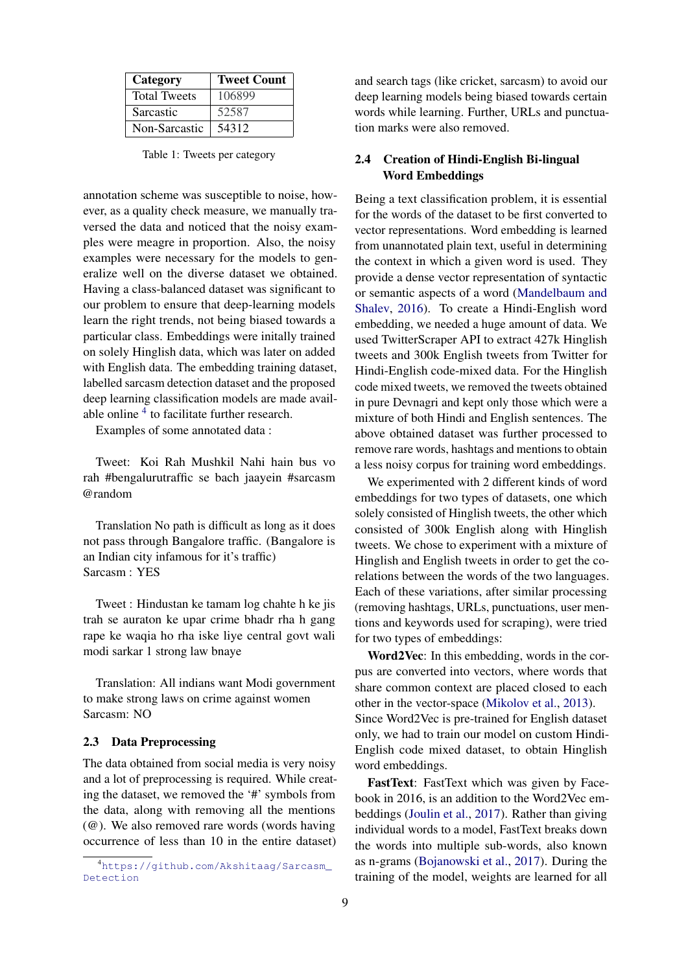| Category            | <b>Tweet Count</b> |
|---------------------|--------------------|
| <b>Total Tweets</b> | 106899             |
| Sarcastic           | 52587              |
| Non-Sarcastic       | 54312              |

Table 1: Tweets per category

annotation scheme was susceptible to noise, however, as a quality check measure, we manually traversed the data and noticed that the noisy examples were meagre in proportion. Also, the noisy examples were necessary for the models to generalize well on the diverse dataset we obtained. Having a class-balanced dataset was significant to our problem to ensure that deep-learning models learn the right trends, not being biased towards a particular class. Embeddings were initally trained on solely Hinglish data, which was later on added with English data. The embedding training dataset, labelled sarcasm detection dataset and the proposed deep learning classification models are made avail-able online <sup>[4](#page-2-0)</sup> to facilitate further research.

Examples of some annotated data :

Tweet: Koi Rah Mushkil Nahi hain bus vo rah #bengalurutraffic se bach jaayein #sarcasm @random

Translation No path is difficult as long as it does not pass through Bangalore traffic. (Bangalore is an Indian city infamous for it's traffic) Sarcasm : YES

Tweet : Hindustan ke tamam log chahte h ke jis trah se auraton ke upar crime bhadr rha h gang rape ke waqia ho rha iske liye central govt wali modi sarkar 1 strong law bnaye

Translation: All indians want Modi government to make strong laws on crime against women Sarcasm: NO

#### 2.3 Data Preprocessing

The data obtained from social media is very noisy and a lot of preprocessing is required. While creating the dataset, we removed the '#' symbols from the data, along with removing all the mentions (@). We also removed rare words (words having occurrence of less than 10 in the entire dataset) and search tags (like cricket, sarcasm) to avoid our deep learning models being biased towards certain words while learning. Further, URLs and punctuation marks were also removed.

## 2.4 Creation of Hindi-English Bi-lingual Word Embeddings

Being a text classification problem, it is essential for the words of the dataset to be first converted to vector representations. Word embedding is learned from unannotated plain text, useful in determining the context in which a given word is used. They provide a dense vector representation of syntactic or semantic aspects of a word [\(Mandelbaum and](#page-7-9) [Shalev,](#page-7-9) [2016\)](#page-7-9). To create a Hindi-English word embedding, we needed a huge amount of data. We used TwitterScraper API to extract 427k Hinglish tweets and 300k English tweets from Twitter for Hindi-English code-mixed data. For the Hinglish code mixed tweets, we removed the tweets obtained in pure Devnagri and kept only those which were a mixture of both Hindi and English sentences. The above obtained dataset was further processed to remove rare words, hashtags and mentions to obtain a less noisy corpus for training word embeddings.

We experimented with 2 different kinds of word embeddings for two types of datasets, one which solely consisted of Hinglish tweets, the other which consisted of 300k English along with Hinglish tweets. We chose to experiment with a mixture of Hinglish and English tweets in order to get the corelations between the words of the two languages. Each of these variations, after similar processing (removing hashtags, URLs, punctuations, user mentions and keywords used for scraping), were tried for two types of embeddings:

Word2Vec: In this embedding, words in the corpus are converted into vectors, where words that share common context are placed closed to each other in the vector-space [\(Mikolov et al.,](#page-7-10) [2013\)](#page-7-10). Since Word2Vec is pre-trained for English dataset only, we had to train our model on custom Hindi-English code mixed dataset, to obtain Hinglish word embeddings.

FastText: FastText which was given by Facebook in 2016, is an addition to the Word2Vec embeddings [\(Joulin et al.,](#page-7-11) [2017\)](#page-7-11). Rather than giving individual words to a model, FastText breaks down the words into multiple sub-words, also known as n-grams [\(Bojanowski et al.,](#page-7-12) [2017\)](#page-7-12). During the training of the model, weights are learned for all

<span id="page-2-0"></span><sup>4</sup>[https://github.com/Akshitaag/Sarcasm\\_](https://github.com/Akshitaag/Sarcasm_Detection) [Detection](https://github.com/Akshitaag/Sarcasm_Detection)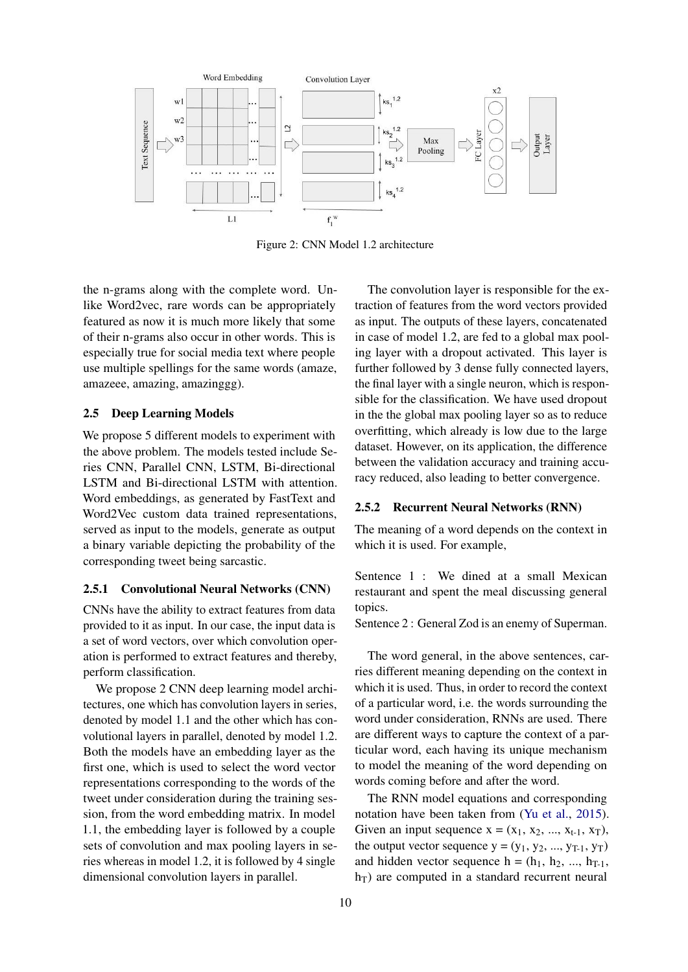

Figure 2: CNN Model 1.2 architecture

the n-grams along with the complete word. Unlike Word2vec, rare words can be appropriately featured as now it is much more likely that some of their n-grams also occur in other words. This is especially true for social media text where people use multiple spellings for the same words (amaze, amazeee, amazing, amazinggg).

#### 2.5 Deep Learning Models

We propose 5 different models to experiment with the above problem. The models tested include Series CNN, Parallel CNN, LSTM, Bi-directional LSTM and Bi-directional LSTM with attention. Word embeddings, as generated by FastText and Word2Vec custom data trained representations, served as input to the models, generate as output a binary variable depicting the probability of the corresponding tweet being sarcastic.

#### 2.5.1 Convolutional Neural Networks (CNN)

CNNs have the ability to extract features from data provided to it as input. In our case, the input data is a set of word vectors, over which convolution operation is performed to extract features and thereby, perform classification.

We propose 2 CNN deep learning model architectures, one which has convolution layers in series, denoted by model 1.1 and the other which has convolutional layers in parallel, denoted by model 1.2. Both the models have an embedding layer as the first one, which is used to select the word vector representations corresponding to the words of the tweet under consideration during the training session, from the word embedding matrix. In model 1.1, the embedding layer is followed by a couple sets of convolution and max pooling layers in series whereas in model 1.2, it is followed by 4 single dimensional convolution layers in parallel.

The convolution layer is responsible for the extraction of features from the word vectors provided as input. The outputs of these layers, concatenated in case of model 1.2, are fed to a global max pooling layer with a dropout activated. This layer is further followed by 3 dense fully connected layers, the final layer with a single neuron, which is responsible for the classification. We have used dropout in the the global max pooling layer so as to reduce overfitting, which already is low due to the large dataset. However, on its application, the difference between the validation accuracy and training accuracy reduced, also leading to better convergence.

#### 2.5.2 Recurrent Neural Networks (RNN)

The meaning of a word depends on the context in which it is used. For example,

Sentence 1 : We dined at a small Mexican restaurant and spent the meal discussing general topics.

Sentence 2 : General Zod is an enemy of Superman.

The word general, in the above sentences, carries different meaning depending on the context in which it is used. Thus, in order to record the context of a particular word, i.e. the words surrounding the word under consideration, RNNs are used. There are different ways to capture the context of a particular word, each having its unique mechanism to model the meaning of the word depending on words coming before and after the word.

The RNN model equations and corresponding notation have been taken from [\(Yu et al.,](#page-8-2) [2015\)](#page-8-2). Given an input sequence  $x = (x_1, x_2, ..., x_{t-1}, x_T)$ , the output vector sequence  $y = (y_1, y_2, ..., y_{T-1}, y_T)$ and hidden vector sequence  $h = (h_1, h_2, ..., h_{T-1},$  $h_T$ ) are computed in a standard recurrent neural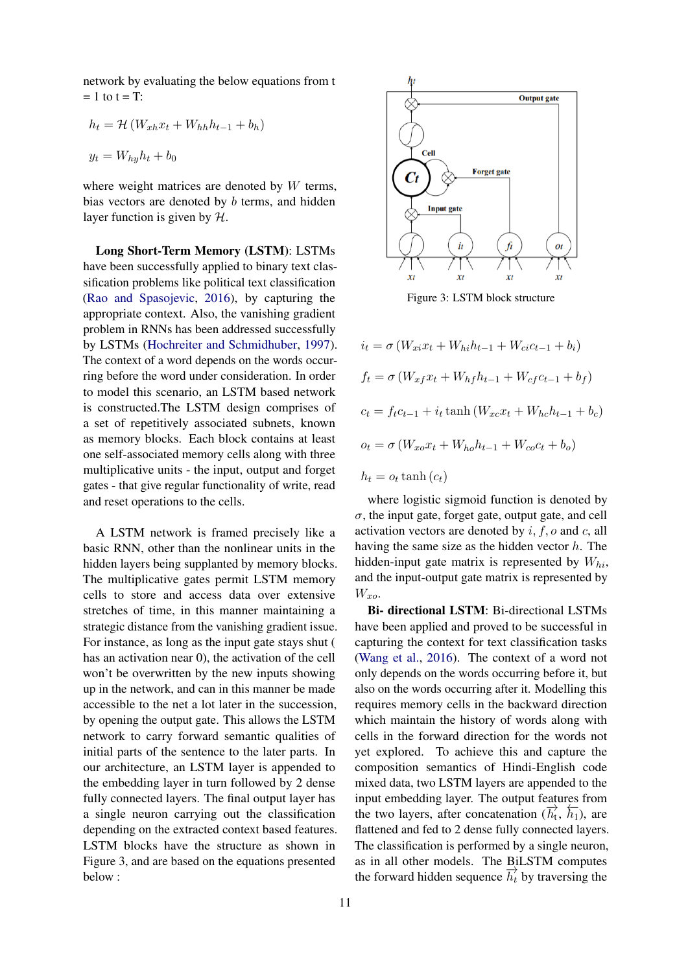network by evaluating the below equations from t  $= 1$  to  $t = T$ :

$$
h_t = \mathcal{H} (W_{xh} x_t + W_{hh} h_{t-1} + b_h)
$$
  

$$
y_t = W_{hy} h_t + b_0
$$

where weight matrices are denoted by  $W$  terms, bias vectors are denoted by b terms, and hidden layer function is given by  $H$ .

Long Short-Term Memory (LSTM): LSTMs have been successfully applied to binary text classification problems like political text classification [\(Rao and Spasojevic,](#page-7-13) [2016\)](#page-7-13), by capturing the appropriate context. Also, the vanishing gradient problem in RNNs has been addressed successfully by LSTMs [\(Hochreiter and Schmidhuber,](#page-7-14) [1997\)](#page-7-14). The context of a word depends on the words occurring before the word under consideration. In order to model this scenario, an LSTM based network is constructed.The LSTM design comprises of a set of repetitively associated subnets, known as memory blocks. Each block contains at least one self-associated memory cells along with three multiplicative units - the input, output and forget gates - that give regular functionality of write, read and reset operations to the cells.

A LSTM network is framed precisely like a basic RNN, other than the nonlinear units in the hidden layers being supplanted by memory blocks. The multiplicative gates permit LSTM memory cells to store and access data over extensive stretches of time, in this manner maintaining a strategic distance from the vanishing gradient issue. For instance, as long as the input gate stays shut ( has an activation near 0), the activation of the cell won't be overwritten by the new inputs showing up in the network, and can in this manner be made accessible to the net a lot later in the succession, by opening the output gate. This allows the LSTM network to carry forward semantic qualities of initial parts of the sentence to the later parts. In our architecture, an LSTM layer is appended to the embedding layer in turn followed by 2 dense fully connected layers. The final output layer has a single neuron carrying out the classification depending on the extracted context based features. LSTM blocks have the structure as shown in Figure 3, and are based on the equations presented below :



Figure 3: LSTM block structure

 $i_t = \sigma (W_{xi} x_t + W_{hi} h_{t-1} + W_{ci} c_{t-1} + b_i)$  $f_t = \sigma (W_{xf} x_t + W_{hf} h_{t-1} + W_{cf} c_{t-1} + b_f)$  $c_t = f_t c_{t-1} + i_t \tanh (W_{xc} x_t + W_{hc} h_{t-1} + b_c)$  $o_t = \sigma (W_{xo} x_t + W_{ho} h_{t-1} + W_{co} c_t + b_o)$  $h_t = o_t \tanh(c_t)$ 

where logistic sigmoid function is denoted by  $\sigma$ , the input gate, forget gate, output gate, and cell activation vectors are denoted by  $i, f, o$  and  $c,$  all having the same size as the hidden vector  $h$ . The hidden-input gate matrix is represented by  $W_{hi}$ , and the input-output gate matrix is represented by  $W_{xo}$ .

Bi- directional LSTM: Bi-directional LSTMs have been applied and proved to be successful in capturing the context for text classification tasks [\(Wang et al.,](#page-8-3) [2016\)](#page-8-3). The context of a word not only depends on the words occurring before it, but also on the words occurring after it. Modelling this requires memory cells in the backward direction which maintain the history of words along with cells in the forward direction for the words not yet explored. To achieve this and capture the composition semantics of Hindi-English code mixed data, two LSTM layers are appended to the input embedding layer. The output features from the two layers, after concatenation  $(\overline{h}_t, \overline{h}_1)$ , are flattened and fed to 2 dense fully connected layers. The classification is performed by a single neuron, as in all other models. The BiLSTM computes the forward hidden sequence  $\overrightarrow{h_t}$  by traversing the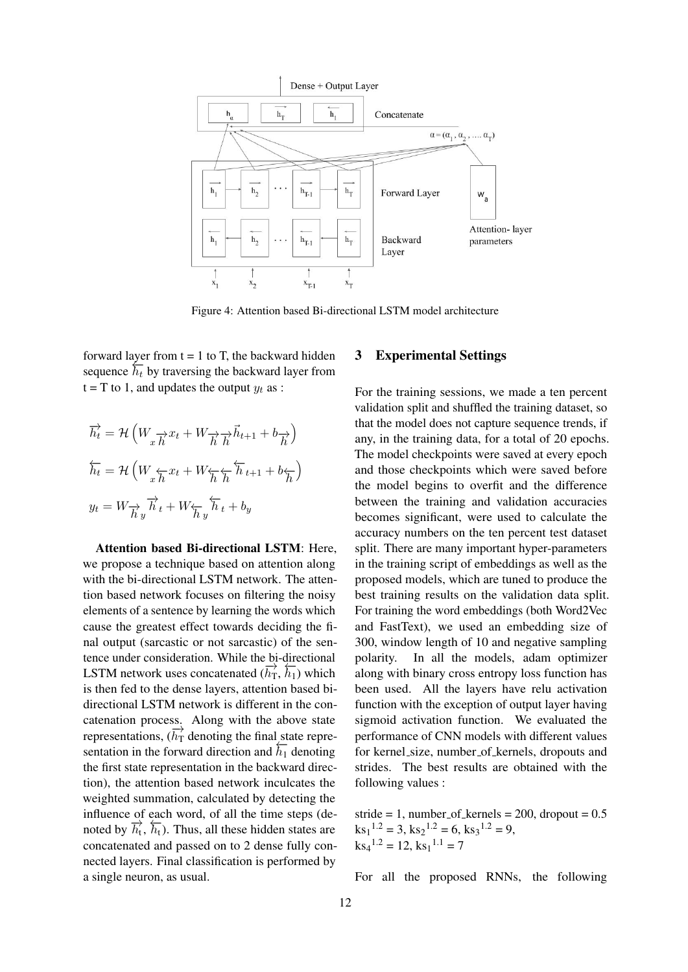

Figure 4: Attention based Bi-directional LSTM model architecture

forward layer from  $t = 1$  to T, the backward hidden sequence  $\overline{h_t}$  by traversing the backward layer from  $t = T$  to 1, and updates the output  $y_t$  as :

$$
\overrightarrow{h_t} = \mathcal{H}\left(W_{x} \overrightarrow{h} x_t + W_{\overrightarrow{h}} \overrightarrow{h}_{t+1} + b_{\overrightarrow{h}}\right)
$$
  

$$
\overleftarrow{h_t} = \mathcal{H}\left(W_{x} \overleftarrow{h} x_t + W_{\overleftarrow{h}} \overleftarrow{h} \overleftarrow{h}_{t+1} + b_{\overleftarrow{h}}\right)\right)
$$
  

$$
y_t = W_{\overrightarrow{h} y} \overrightarrow{h}_t + W_{\overleftarrow{h} y} \overleftarrow{h}_t + b_y
$$

Attention based Bi-directional LSTM: Here, we propose a technique based on attention along with the bi-directional LSTM network. The attention based network focuses on filtering the noisy elements of a sentence by learning the words which cause the greatest effect towards deciding the final output (sarcastic or not sarcastic) of the sentence under consideration. While the bi-directional LSTM network uses concatenated  $(\vec{h}_T, \vec{h}_1)$  which is then fed to the dense layers, attention based bidirectional LSTM network is different in the concatenation process. Along with the above state representations,  $(\overrightarrow{h_T}$  denoting the final state representation in the forward direction and  $\overline{h_1}$  denoting the first state representation in the backward direction), the attention based network inculcates the weighted summation, calculated by detecting the influence of each word, of all the time steps (demindence of  $\frac{\partial}{\partial t}$ ,  $\frac{\partial}{\partial t}$ ). Thus, all these hidden states are concatenated and passed on to 2 dense fully connected layers. Final classification is performed by a single neuron, as usual.

## 3 Experimental Settings

For the training sessions, we made a ten percent validation split and shuffled the training dataset, so that the model does not capture sequence trends, if any, in the training data, for a total of 20 epochs. The model checkpoints were saved at every epoch and those checkpoints which were saved before the model begins to overfit and the difference between the training and validation accuracies becomes significant, were used to calculate the accuracy numbers on the ten percent test dataset split. There are many important hyper-parameters in the training script of embeddings as well as the proposed models, which are tuned to produce the best training results on the validation data split. For training the word embeddings (both Word2Vec and FastText), we used an embedding size of 300, window length of 10 and negative sampling polarity. In all the models, adam optimizer along with binary cross entropy loss function has been used. All the layers have relu activation function with the exception of output layer having sigmoid activation function. We evaluated the performance of CNN models with different values for kernel\_size, number\_of\_kernels, dropouts and strides. The best results are obtained with the following values :

stride = 1, number\_of\_kernels =  $200$ , dropout =  $0.5$  $\text{ks}_1^{1.2} = 3, \text{ks}_2^{1.2} = 6, \text{ks}_3^{1.2} = 9,$  $\text{ks}_4^{1.2} = 12, \text{ks}_1^{1.1} = 7$ 

For all the proposed RNNs, the following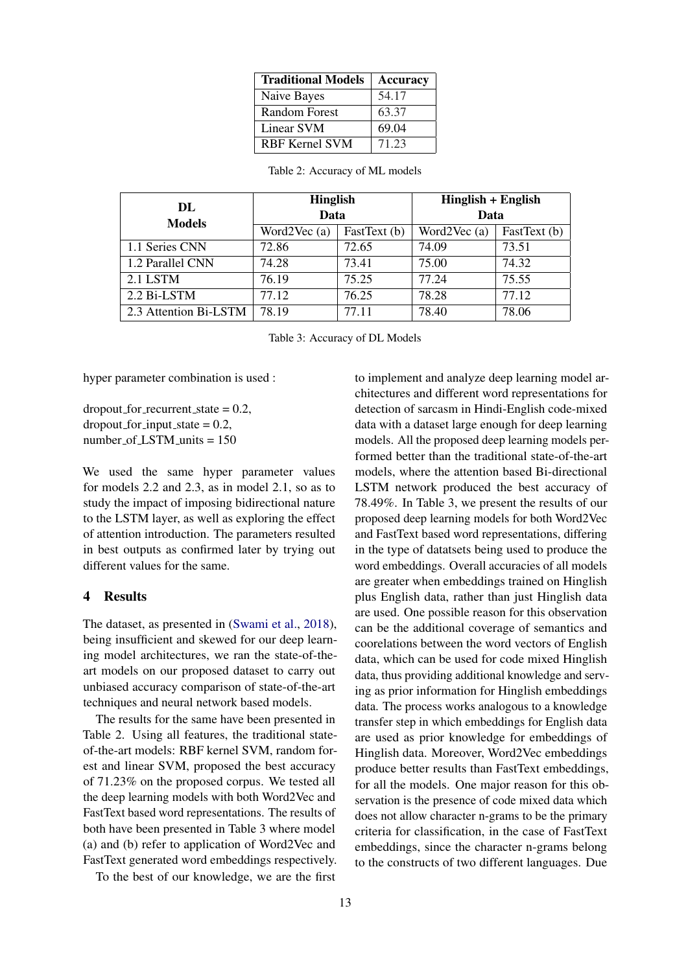| <b>Traditional Models</b> | <b>Accuracy</b> |
|---------------------------|-----------------|
| Naive Bayes               | 54.17           |
| Random Forest             | 63.37           |
| Linear SVM                | 69.04           |
| <b>RBF Kernel SVM</b>     | 71.23           |

| DL                    | <b>Hinglish</b> |              | Hinglish + English |              |
|-----------------------|-----------------|--------------|--------------------|--------------|
| <b>Models</b>         | Data            |              | Data               |              |
|                       | Word $2Vec(a)$  | FastText (b) | Word $2Vec(a)$     | FastText (b) |
| 1.1 Series CNN        | 72.86           | 72.65        | 74.09              | 73.51        |
| 1.2 Parallel CNN      | 74.28           | 73.41        | 75.00              | 74.32        |
| 2.1 LSTM              | 76.19           | 75.25        | 77.24              | 75.55        |
| 2.2 Bi-LSTM           | 77.12           | 76.25        | 78.28              | 77.12        |
| 2.3 Attention Bi-LSTM | 78.19           | 77.11        | 78.40              | 78.06        |

| Table 2: Accuracy of ML models |  |  |
|--------------------------------|--|--|
|--------------------------------|--|--|

Table 3: Accuracy of DL Models

hyper parameter combination is used :

 $dropout_f$  for recurrent state = 0.2,  $\text{dropout\_for\_input\_state} = 0.2$ ,  $number\_of$  LSTM units = 150

We used the same hyper parameter values for models 2.2 and 2.3, as in model 2.1, so as to study the impact of imposing bidirectional nature to the LSTM layer, as well as exploring the effect of attention introduction. The parameters resulted in best outputs as confirmed later by trying out different values for the same.

#### 4 Results

The dataset, as presented in [\(Swami et al.,](#page-7-8) [2018\)](#page-7-8), being insufficient and skewed for our deep learning model architectures, we ran the state-of-theart models on our proposed dataset to carry out unbiased accuracy comparison of state-of-the-art techniques and neural network based models.

The results for the same have been presented in Table 2. Using all features, the traditional stateof-the-art models: RBF kernel SVM, random forest and linear SVM, proposed the best accuracy of 71.23% on the proposed corpus. We tested all the deep learning models with both Word2Vec and FastText based word representations. The results of both have been presented in Table 3 where model (a) and (b) refer to application of Word2Vec and FastText generated word embeddings respectively.

To the best of our knowledge, we are the first

to implement and analyze deep learning model architectures and different word representations for detection of sarcasm in Hindi-English code-mixed data with a dataset large enough for deep learning models. All the proposed deep learning models performed better than the traditional state-of-the-art models, where the attention based Bi-directional LSTM network produced the best accuracy of 78.49%. In Table 3, we present the results of our proposed deep learning models for both Word2Vec and FastText based word representations, differing in the type of datatsets being used to produce the word embeddings. Overall accuracies of all models are greater when embeddings trained on Hinglish plus English data, rather than just Hinglish data are used. One possible reason for this observation can be the additional coverage of semantics and coorelations between the word vectors of English data, which can be used for code mixed Hinglish data, thus providing additional knowledge and serving as prior information for Hinglish embeddings data. The process works analogous to a knowledge transfer step in which embeddings for English data are used as prior knowledge for embeddings of Hinglish data. Moreover, Word2Vec embeddings produce better results than FastText embeddings, for all the models. One major reason for this observation is the presence of code mixed data which does not allow character n-grams to be the primary criteria for classification, in the case of FastText embeddings, since the character n-grams belong to the constructs of two different languages. Due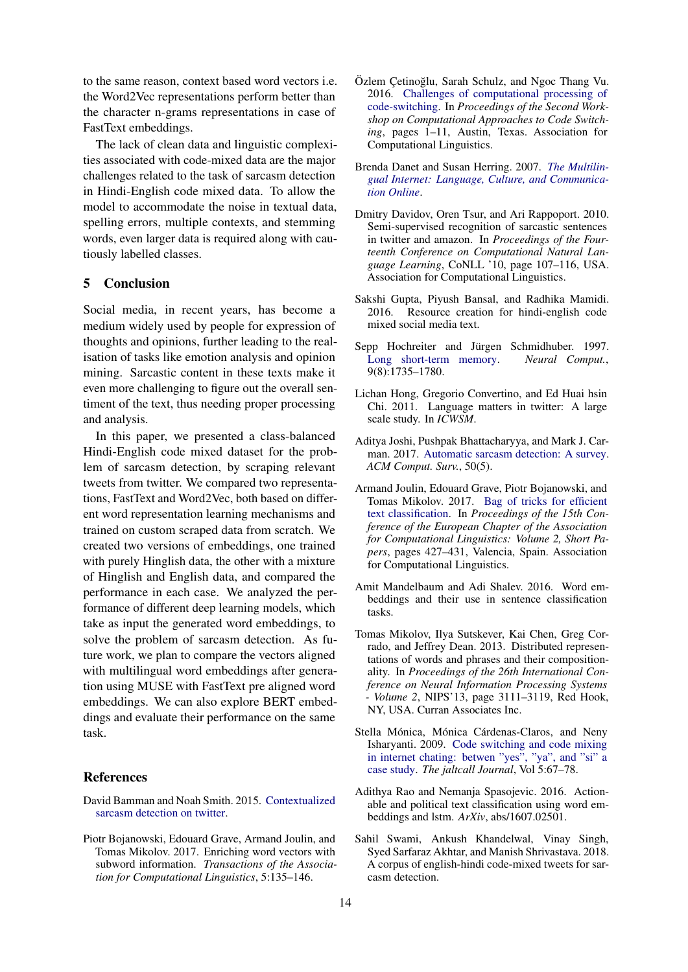to the same reason, context based word vectors i.e. the Word2Vec representations perform better than the character n-grams representations in case of FastText embeddings.

The lack of clean data and linguistic complexities associated with code-mixed data are the major challenges related to the task of sarcasm detection in Hindi-English code mixed data. To allow the model to accommodate the noise in textual data, spelling errors, multiple contexts, and stemming words, even larger data is required along with cautiously labelled classes.

# 5 Conclusion

Social media, in recent years, has become a medium widely used by people for expression of thoughts and opinions, further leading to the realisation of tasks like emotion analysis and opinion mining. Sarcastic content in these texts make it even more challenging to figure out the overall sentiment of the text, thus needing proper processing and analysis.

In this paper, we presented a class-balanced Hindi-English code mixed dataset for the problem of sarcasm detection, by scraping relevant tweets from twitter. We compared two representations, FastText and Word2Vec, both based on different word representation learning mechanisms and trained on custom scraped data from scratch. We created two versions of embeddings, one trained with purely Hinglish data, the other with a mixture of Hinglish and English data, and compared the performance in each case. We analyzed the performance of different deep learning models, which take as input the generated word embeddings, to solve the problem of sarcasm detection. As future work, we plan to compare the vectors aligned with multilingual word embeddings after generation using MUSE with FastText pre aligned word embeddings. We can also explore BERT embeddings and evaluate their performance on the same task.

#### References

- <span id="page-7-7"></span>David Bamman and Noah Smith. 2015. [Contextualized](https://www.aaai.org/ocs/index.php/ICWSM/ICWSM15/paper/view/10538) [sarcasm detection on twitter.](https://www.aaai.org/ocs/index.php/ICWSM/ICWSM15/paper/view/10538)
- <span id="page-7-12"></span>Piotr Bojanowski, Edouard Grave, Armand Joulin, and Tomas Mikolov. 2017. Enriching word vectors with subword information. *Transactions of the Association for Computational Linguistics*, 5:135–146.
- <span id="page-7-5"></span>Özlem Cetinoğlu, Sarah Schulz, and Ngoc Thang Vu. 2016. [Challenges of computational processing of](https://doi.org/10.18653/v1/W16-5801) [code-switching.](https://doi.org/10.18653/v1/W16-5801) In *Proceedings of the Second Workshop on Computational Approaches to Code Switching*, pages 1–11, Austin, Texas. Association for Computational Linguistics.
- <span id="page-7-1"></span>Brenda Danet and Susan Herring. 2007. *[The Multilin](https://doi.org/10.1093/acprof:oso/9780195304794.001.0001)[gual Internet: Language, Culture, and Communica](https://doi.org/10.1093/acprof:oso/9780195304794.001.0001)[tion Online](https://doi.org/10.1093/acprof:oso/9780195304794.001.0001)*.
- <span id="page-7-6"></span>Dmitry Davidov, Oren Tsur, and Ari Rappoport. 2010. Semi-supervised recognition of sarcastic sentences in twitter and amazon. In *Proceedings of the Fourteenth Conference on Computational Natural Language Learning*, CoNLL '10, page 107–116, USA. Association for Computational Linguistics.
- <span id="page-7-3"></span>Sakshi Gupta, Piyush Bansal, and Radhika Mamidi. 2016. Resource creation for hindi-english code mixed social media text.
- <span id="page-7-14"></span>Sepp Hochreiter and Jürgen Schmidhuber. 1997.<br>
Long short-term memory. Neural Comput., [Long short-term memory.](https://doi.org/10.1162/neco.1997.9.8.1735) 9(8):1735–1780.
- <span id="page-7-2"></span>Lichan Hong, Gregorio Convertino, and Ed Huai hsin Chi. 2011. Language matters in twitter: A large scale study. In *ICWSM*.
- <span id="page-7-0"></span>Aditya Joshi, Pushpak Bhattacharyya, and Mark J. Carman. 2017. [Automatic sarcasm detection: A survey.](https://doi.org/10.1145/3124420) *ACM Comput. Surv.*, 50(5).
- <span id="page-7-11"></span>Armand Joulin, Edouard Grave, Piotr Bojanowski, and Tomas Mikolov. 2017. [Bag of tricks for efficient](https://www.aclweb.org/anthology/E17-2068) [text classification.](https://www.aclweb.org/anthology/E17-2068) In *Proceedings of the 15th Conference of the European Chapter of the Association for Computational Linguistics: Volume 2, Short Papers*, pages 427–431, Valencia, Spain. Association for Computational Linguistics.
- <span id="page-7-9"></span>Amit Mandelbaum and Adi Shalev. 2016. Word embeddings and their use in sentence classification tasks.
- <span id="page-7-10"></span>Tomas Mikolov, Ilya Sutskever, Kai Chen, Greg Corrado, and Jeffrey Dean. 2013. Distributed representations of words and phrases and their compositionality. In *Proceedings of the 26th International Conference on Neural Information Processing Systems - Volume 2*, NIPS'13, page 3111–3119, Red Hook, NY, USA. Curran Associates Inc.
- <span id="page-7-4"></span>Stella Mónica, Mónica Cárdenas-Claros, and Neny Isharyanti. 2009. [Code switching and code mixing](https://doi.org/10.29140/jaltcall.v5n3.87) [in internet chating: betwen "yes", "ya", and "si" a](https://doi.org/10.29140/jaltcall.v5n3.87) [case study.](https://doi.org/10.29140/jaltcall.v5n3.87) *The jaltcall Journal*, Vol 5:67–78.
- <span id="page-7-13"></span>Adithya Rao and Nemanja Spasojevic. 2016. Actionable and political text classification using word embeddings and lstm. *ArXiv*, abs/1607.02501.
- <span id="page-7-8"></span>Sahil Swami, Ankush Khandelwal, Vinay Singh, Syed Sarfaraz Akhtar, and Manish Shrivastava. 2018. A corpus of english-hindi code-mixed tweets for sarcasm detection.